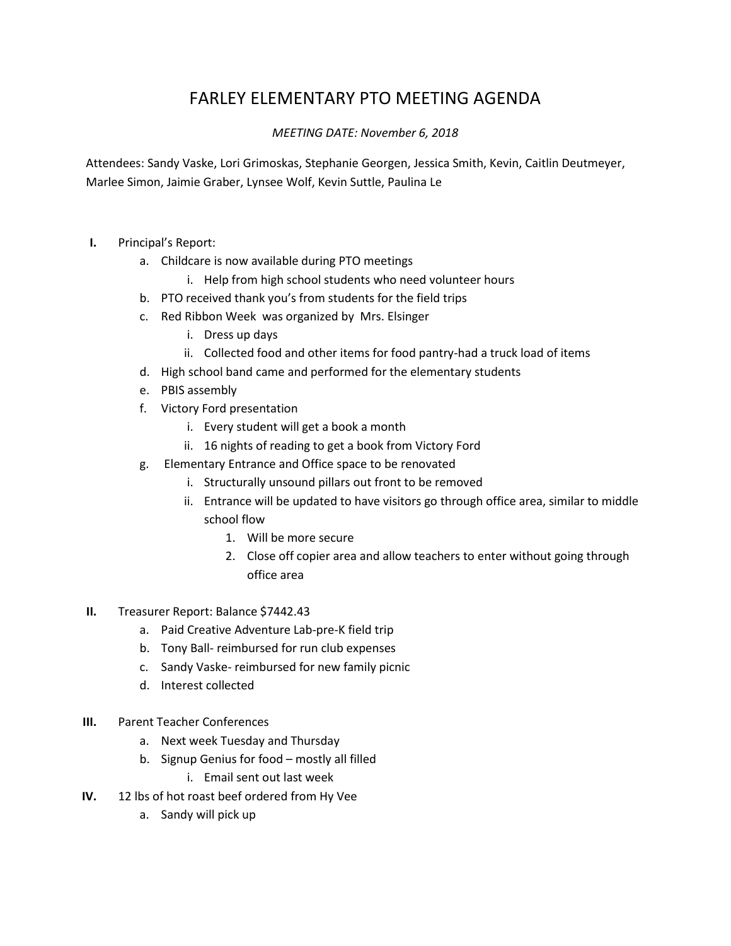## FARLEY ELEMENTARY PTO MEETING AGENDA

## *MEETING DATE: November 6, 2018*

Attendees: Sandy Vaske, Lori Grimoskas, Stephanie Georgen, Jessica Smith, Kevin, Caitlin Deutmeyer, Marlee Simon, Jaimie Graber, Lynsee Wolf, Kevin Suttle, Paulina Le

- **I.** Principal's Report:
	- a. Childcare is now available during PTO meetings
		- i. Help from high school students who need volunteer hours
	- b. PTO received thank you's from students for the field trips
	- c. Red Ribbon Week was organized by Mrs. Elsinger
		- i. Dress up days
		- ii. Collected food and other items for food pantry-had a truck load of items
	- d. High school band came and performed for the elementary students
	- e. PBIS assembly
	- f. Victory Ford presentation
		- i. Every student will get a book a month
		- ii. 16 nights of reading to get a book from Victory Ford
	- g. Elementary Entrance and Office space to be renovated
		- i. Structurally unsound pillars out front to be removed
		- ii. Entrance will be updated to have visitors go through office area, similar to middle school flow
			- 1. Will be more secure
			- 2. Close off copier area and allow teachers to enter without going through office area
- **II.** Treasurer Report: Balance \$7442.43
	- a. Paid Creative Adventure Lab-pre-K field trip
	- b. Tony Ball- reimbursed for run club expenses
	- c. Sandy Vaske- reimbursed for new family picnic
	- d. Interest collected
- **III.** Parent Teacher Conferences
	- a. Next week Tuesday and Thursday
	- b. Signup Genius for food mostly all filled
		- i. Email sent out last week
- **IV.** 12 lbs of hot roast beef ordered from Hy Vee
	- a. Sandy will pick up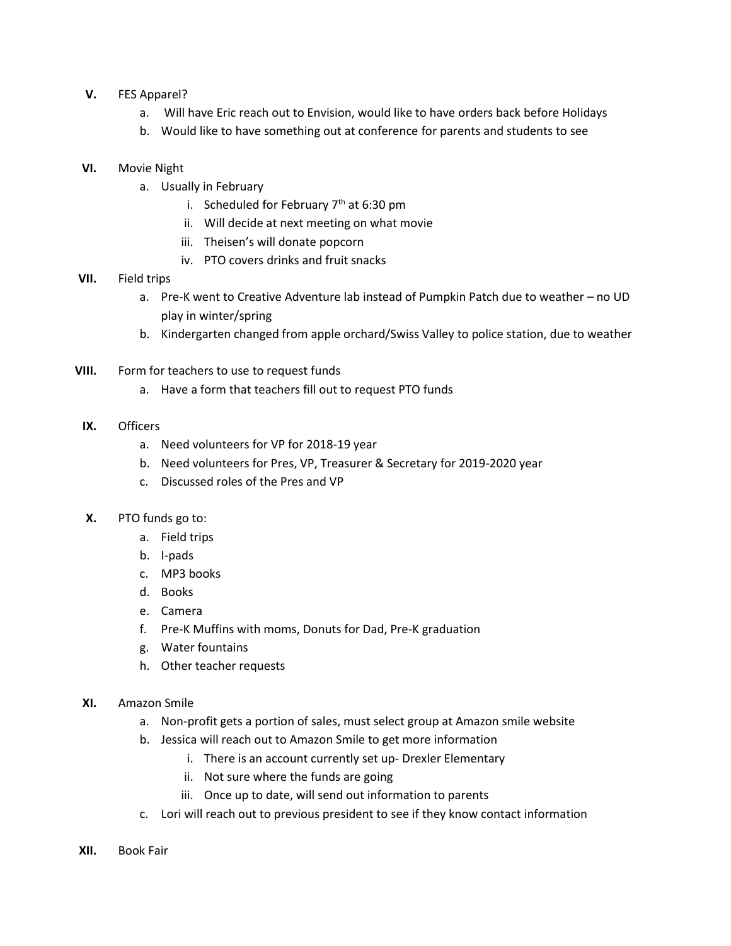- **V.** FES Apparel?
	- a. Will have Eric reach out to Envision, would like to have orders back before Holidays
	- b. Would like to have something out at conference for parents and students to see
- **VI.** Movie Night
	- a. Usually in February
		- i. Scheduled for February  $7<sup>th</sup>$  at 6:30 pm
		- ii. Will decide at next meeting on what movie
		- iii. Theisen's will donate popcorn
		- iv. PTO covers drinks and fruit snacks
- **VII.** Field trips
	- a. Pre-K went to Creative Adventure lab instead of Pumpkin Patch due to weather no UD play in winter/spring
	- b. Kindergarten changed from apple orchard/Swiss Valley to police station, due to weather
- **VIII.** Form for teachers to use to request funds
	- a. Have a form that teachers fill out to request PTO funds
- **IX.** Officers
	- a. Need volunteers for VP for 2018-19 year
	- b. Need volunteers for Pres, VP, Treasurer & Secretary for 2019-2020 year
	- c. Discussed roles of the Pres and VP
- **X.** PTO funds go to:
	- a. Field trips
	- b. I-pads
	- c. MP3 books
	- d. Books
	- e. Camera
	- f. Pre-K Muffins with moms, Donuts for Dad, Pre-K graduation
	- g. Water fountains
	- h. Other teacher requests
- **XI.** Amazon Smile
	- a. Non-profit gets a portion of sales, must select group at Amazon smile website
	- b. Jessica will reach out to Amazon Smile to get more information
		- i. There is an account currently set up- Drexler Elementary
		- ii. Not sure where the funds are going
		- iii. Once up to date, will send out information to parents
	- c. Lori will reach out to previous president to see if they know contact information
- **XII.** Book Fair